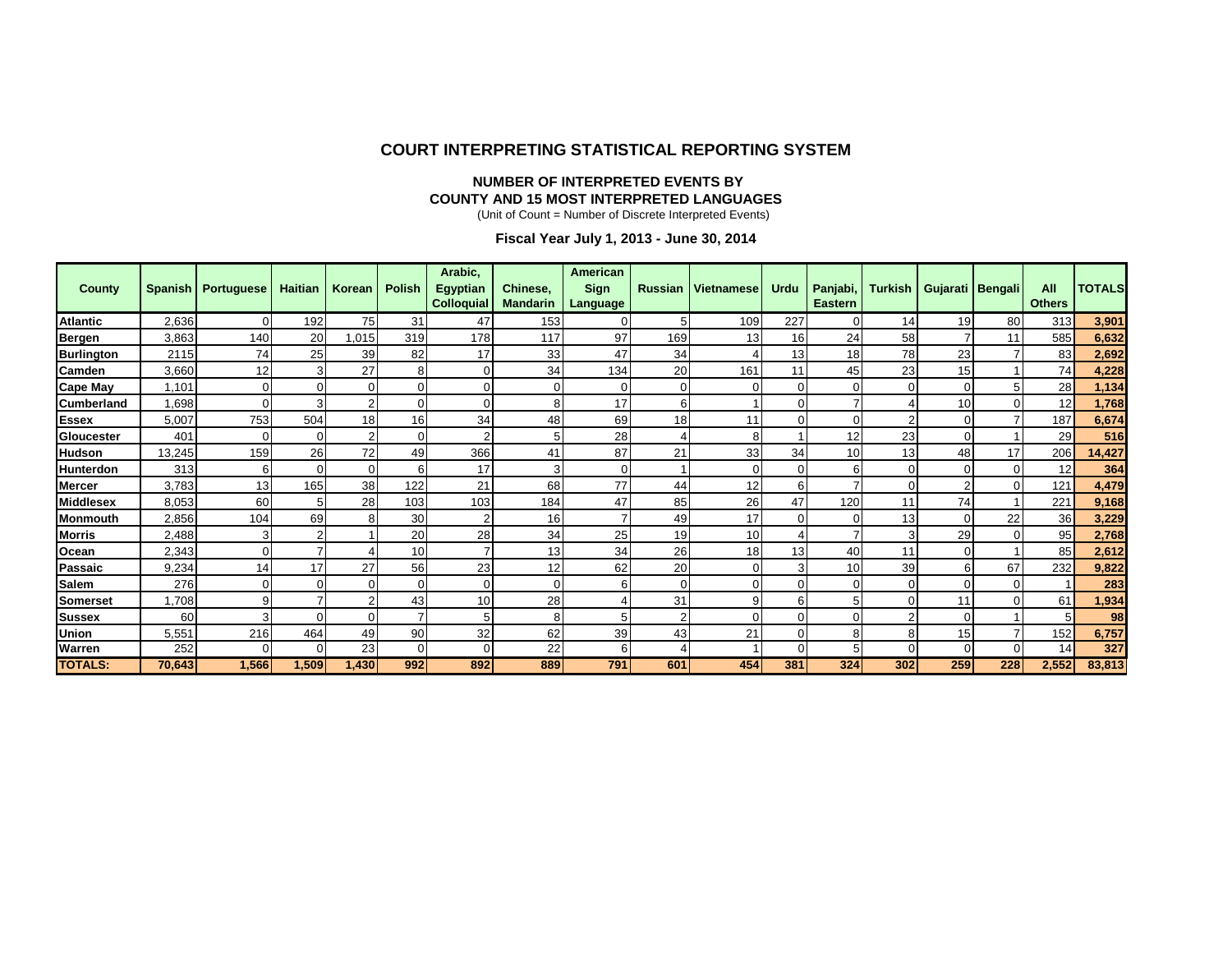#### **COURT INTERPRETING STATISTICAL REPORTING SYSTEM**

#### **NUMBER OF INTERPRETED EVENTS BY COUNTY AND 15 MOST INTERPRETED LANGUAGES**

(Unit of Count = Number of Discrete Interpreted Events)

**Fiscal Year July 1, 2013 - June 30, 2014**

| <b>County</b>     |        | Spanish   Portuguese | <b>Haitian</b> | Korean         | <b>Polish</b> | Arabic,<br><b>Egyptian</b><br>Colloquial | Chinese.<br><b>Mandarin</b> | <b>American</b><br>Sign<br>Language | <b>Russian</b> | <b>Vietnamese</b> | <b>Urdu</b> | Panjabi,<br><b>Eastern</b> |          | Turkish   Gujarati   Bengali |     | All<br><b>Others</b> | <b>TOTALS</b> |
|-------------------|--------|----------------------|----------------|----------------|---------------|------------------------------------------|-----------------------------|-------------------------------------|----------------|-------------------|-------------|----------------------------|----------|------------------------------|-----|----------------------|---------------|
| <b>Atlantic</b>   | 2,636  | 0                    | 192            | 75             | 31            | 47                                       | 153                         | $\overline{0}$                      | 5              | 109               | 227         | O                          | 14       | 19                           | 80  | 313                  | 3,901         |
| Bergen            | 3,863  | 140                  | 20             | .015           | 319           | 178                                      | 117                         | 97                                  | 169            | 13                | 16          | 24                         | 58       |                              | 11  | 585                  | 6,632         |
| <b>Burlington</b> | 2115   | 74                   | 25             | 39             | 82            | 17                                       | 33                          | 47                                  | 34             |                   | 13          | 18                         | 78       | 23                           |     | 83                   | 2,692         |
| Camden            | 3,660  | 12                   |                | 27             |               | U                                        | 34                          | 134                                 | 20             | 161               | 11          | 45                         | 23       | 15                           |     | 74                   | 4,228         |
| <b>Cape May</b>   | 1,101  | 0                    | $\overline{0}$ | 0              |               | ი                                        |                             | 0                                   | $\Omega$       |                   |             |                            | $\Omega$ | 0                            | 5   | 28                   | 1,134         |
| <b>Cumberland</b> | 1,698  | $\Omega$             |                | $\overline{2}$ |               |                                          |                             | 17                                  | 6              |                   |             |                            |          | 10                           |     | 12                   | 1,768         |
| <b>Essex</b>      | 5,007  | 753                  | 504            | 18             | 16            | 34                                       | 48                          | 69                                  | 18             | 11                |             |                            |          |                              |     | 187                  | 6,674         |
| Gloucester        | 401    | $\Omega$             | 0              | $\overline{2}$ |               |                                          |                             | 28                                  |                | 8                 |             | 12                         | 23       |                              |     | 29                   | 516           |
| <b>Hudson</b>     | 13,245 | 159                  | 26             | 72             | 49            | 366                                      | 41                          | 87                                  | 21             | 33                | 34          | 10                         | 13       | 48                           | 17  | 206                  | 14,427        |
| Hunterdon         | 313    | 6                    | $\Omega$       | 0              |               | 17                                       |                             | $\Omega$                            |                | O                 |             |                            | $\Omega$ |                              |     | 12                   | 364           |
| <b>Mercer</b>     | 3,783  | 13                   | 165            | 38             | 122           | 21                                       | 68                          | 77                                  | 44             | 12                | 6           |                            | $\Omega$ |                              | U   | 121                  | 4,479         |
| <b>Middlesex</b>  | 8,053  | 60                   | 5              | 28             | 103           | 103                                      | 184                         | 47                                  | 85             | 26                | 47          | 120                        | 11       | 74                           |     | 221                  | 9,168         |
| <b>Monmouth</b>   | 2,856  | 104                  | 69             | 8              | 30            |                                          | 16                          |                                     | 49             | 17                |             |                            | 13       |                              | 22  | 36                   | 3,229         |
| <b>Morris</b>     | 2,488  | 3                    |                |                | 20            | 28                                       | 34                          | 25                                  | 19             | 10                |             |                            | 3        | 29                           |     | 95                   | 2,768         |
| Ocean             | 2,343  | $\mathbf 0$          |                |                | 10            |                                          | 13                          | 34                                  | 26             | 18                | 13          | 40                         | 11       |                              |     | 85                   | 2,612         |
| Passaic           | 9,234  | 14                   | 17             | 27             | 56            | 23                                       | 12                          | 62                                  | 20             |                   |             | 10                         | 39       |                              | 67  | 232                  | 9,822         |
| <b>Salem</b>      | 276    | 0                    | 0              | $\Omega$       |               | U                                        |                             | 6                                   | $\Omega$       | O                 |             |                            | $\Omega$ |                              |     |                      | 283           |
| <b>Somerset</b>   | 1,708  | 9                    |                | 2              | 43            | 10                                       | 28                          |                                     | 31             | g                 |             |                            |          | 11                           |     | 61                   | 1,934         |
| <b>Sussex</b>     | 60     | 3                    |                | $\Omega$       |               | 5                                        |                             | 5                                   | 2              | $\mathsf{C}$      |             |                            |          |                              |     | 5                    | 98            |
| Union             | 5,551  | 216                  | 464            | 49             | 90            | 32                                       | 62                          | 39                                  | 43             | 21                |             |                            | 8        | 15                           |     | 152                  | 6,757         |
| Warren            | 252    | 0                    | $\Omega$       | 23             |               | 0                                        | 22                          | 6                                   |                |                   |             |                            |          |                              | n   | 14                   | 327           |
| <b>TOTALS:</b>    | 70,643 | 1,566                | 1,509          | 1,430          | 992           | 892                                      | 889                         | 791                                 | 601            | 454               | 381         | 324                        | 302      | 259                          | 228 | 2,552                | 83,813        |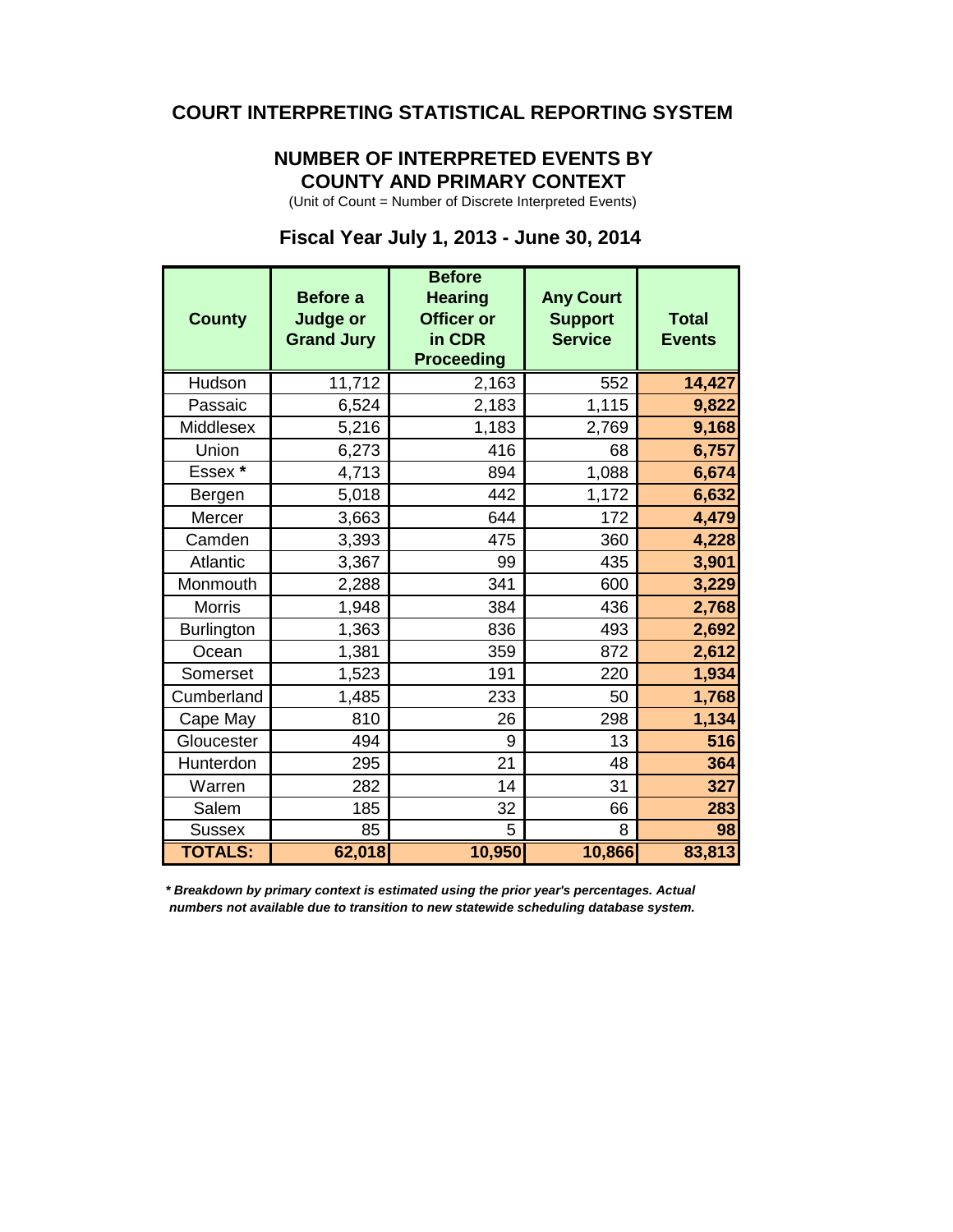#### **COURT INTERPRETING STATISTICAL REPORTING SYSTEM**

#### **NUMBER OF INTERPRETED EVENTS BY COUNTY AND PRIMARY CONTEXT**

(Unit of Count = Number of Discrete Interpreted Events)

### **Fiscal Year July 1, 2013 - June 30, 2014**

| <b>County</b>     | Before a<br><b>Judge or</b><br><b>Grand Jury</b> | <b>Before</b><br><b>Hearing</b><br><b>Officer or</b><br>in CDR<br><b>Proceeding</b> | <b>Any Court</b><br><b>Support</b><br><b>Service</b> | <b>Total</b><br><b>Events</b> |
|-------------------|--------------------------------------------------|-------------------------------------------------------------------------------------|------------------------------------------------------|-------------------------------|
| Hudson            | 11,712                                           | 2,163                                                                               | 552                                                  | 14,427                        |
| Passaic           | 6,524                                            | 2,183                                                                               | 1,115                                                | 9,822                         |
| Middlesex         | 5,216                                            | 1,183                                                                               | 2,769                                                | 9,168                         |
| Union             | 6,273                                            | 416                                                                                 | 68                                                   | 6,757                         |
| Essex *           | 4,713                                            | 894                                                                                 | 1,088                                                | 6,674                         |
| Bergen            | 5,018                                            | 442                                                                                 | 1,172                                                | 6,632                         |
| Mercer            | 3,663                                            | 644                                                                                 | 172                                                  | 4,479                         |
| Camden            | 3,393                                            | 475                                                                                 | 360                                                  | 4,228                         |
| Atlantic          | 3,367                                            | 99                                                                                  | 435                                                  | 3,901                         |
| Monmouth          | 2,288                                            | 341                                                                                 | 600                                                  | 3,229                         |
| <b>Morris</b>     | 1,948                                            | 384                                                                                 | 436                                                  | 2,768                         |
| <b>Burlington</b> | 1,363                                            | 836                                                                                 | 493                                                  | 2,692                         |
| Ocean             | 1,381                                            | 359                                                                                 | 872                                                  | 2,612                         |
| Somerset          | 1,523                                            | 191                                                                                 | 220                                                  | 1,934                         |
| Cumberland        | 1,485                                            | 233                                                                                 | 50                                                   | 1,768                         |
| Cape May          | 810                                              | 26                                                                                  | 298                                                  | 1,134                         |
| Gloucester        | 494                                              | 9                                                                                   | 13                                                   | 516                           |
| Hunterdon         | 295                                              | 21                                                                                  | 48                                                   | 364                           |
| Warren            | 282                                              | 14                                                                                  | 31                                                   | 327                           |
| Salem             | 185                                              | 32                                                                                  | 66                                                   | 283                           |
| <b>Sussex</b>     | 85                                               | 5                                                                                   | 8                                                    | 98                            |
| <b>TOTALS:</b>    | 62,018                                           | 10,950                                                                              | 10,866                                               | 83,813                        |

*\* Breakdown by primary context is estimated using the prior year's percentages. Actual numbers not available due to transition to new statewide scheduling database system.*